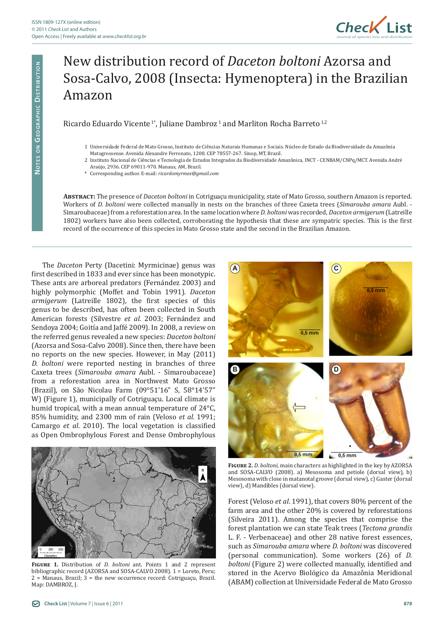

## New distribution record of *Daceton boltoni* Azorsa and Sosa-Calvo, 2008 (Insecta: Hymenoptera) in the Brazilian Amazon

Ricardo Eduardo Vicente<sup>1</sup>\*, Juliane Dambroz<sup>1</sup> and Marliton Rocha Barreto<sup>1,2</sup>

- 1 Universidade Federal de Mato Grosso, Instituto de Ciências Naturais Humanas e Sociais. Núcleo de Estudo da Biodiversidade da Amazônia Matogrossense. Avenida Alexandre Ferronato, 1200. CEP 78557-267. Sinop, MT, Brazil.
- 2 Instituto Nacional de Ciências e Tecnologia de Estudos Integrados da Biodiversidade Amazônica, INCT CENBAM/CNPq/MCT. Avenida André Araújo, 2936. CEP 69011-970. Manaus, AM, Brazil.
- \* Corresponding author. E-mail: *ricardomyrmex@gmail.com*

**Abstract:** The presence of *Daceton boltoni* in Cotriguaçu municipality, state of Mato Grosso, southern Amazon is reported. Workers of *D. boltoni* were collected manually in nests on the branches of three Caxeta trees (*Simarouba amara* Aubl. - Simaroubaceae) from a reforestation area. In the same location where *D. boltoni* was recorded, *Daceton armigerum* (Latreille 1802) workers have also been collected, corroborating the hypothesis that these are sympatric species. This is the first record of the occurrence of this species in Mato Grosso state and the second in the Brazilian Amazon.

The *Daceton* Perty (Dacetini: Myrmicinae) genus was first described in 1833 and ever since has been monotypic. These ants are arboreal predators (Fernández 2003) and highly polymorphic (Moffet and Tobin 1991). *Daceton armigerum* (Latreille 1802), the first species of this genus to be described, has often been collected in South American forests (Silvestre *et al.* 2003; Fernández and Sendoya 2004; Goitía and Jaffé 2009). In 2008, a review on the referred genus revealed a new species: *Daceton boltoni* (Azorsa and Sosa-Calvo 2008). Since then, there have been no reports on the new species. However, in May (2011) *D. boltoni* were reported nesting in branches of three Caxeta trees (*Simarouba amara* Aubl. - Simaroubaceae) from a reforestation area in Northwest Mato Grosso (Brazil), on São Nicolau Farm (09°51'16" S, 58°14'57" W) (Figure 1), municipally of Cotriguaçu. Local climate is humid tropical, with a mean annual temperature of 24°C, 85% humidity, and 2300 mm of rain (Veloso *et al*. 1991; Camargo *et al*. 2010). The local vegetation is classified as Open Ombrophylous Forest and Dense Ombrophylous



**Figure 1.** Distribution of *D. boltoni* ant. Points 1 and 2 represent bibliographic record (AZORSA and SOSA-CALVO 2008). 1 = Loreto, Peru; 2 = Manaus, Brazil; 3 = the new occurrence record: Cotriguaçu, Brazil. Map: DAMBROZ, J.



**Figure 2.** *D. boltoni*, main characters as highlighted in the key by AZORSA and SOSA-CALVO (2008). a) Mesosoma and petiole (dorsal view), b) Mesosoma with close in matanotal groove (dorsal view), c) Gaster (dorsal view), d) Mandibles (dorsal view).

Forest (Veloso *et al*. 1991), that covers 80% percent of the farm area and the other 20% is covered by reforestations (Silveira 2011). Among the species that comprise the forest plantation we can state Teak trees (*Tectona grandis* L. F. - Verbenaceae) and other 28 native forest essences, such as *Simarouba amara* where *D. boltoni* was discovered (personal communication). Some workers (26) of *D. boltoni* (Figure 2) were collected manually, identified and stored in the Acervo Biológico da Amazônia Meridional (ABAM) collection at Universidade Federal de Mato Grosso